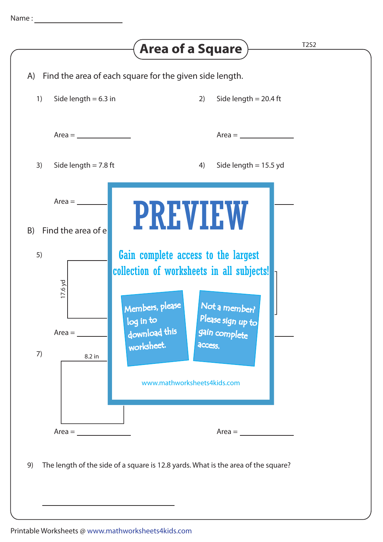